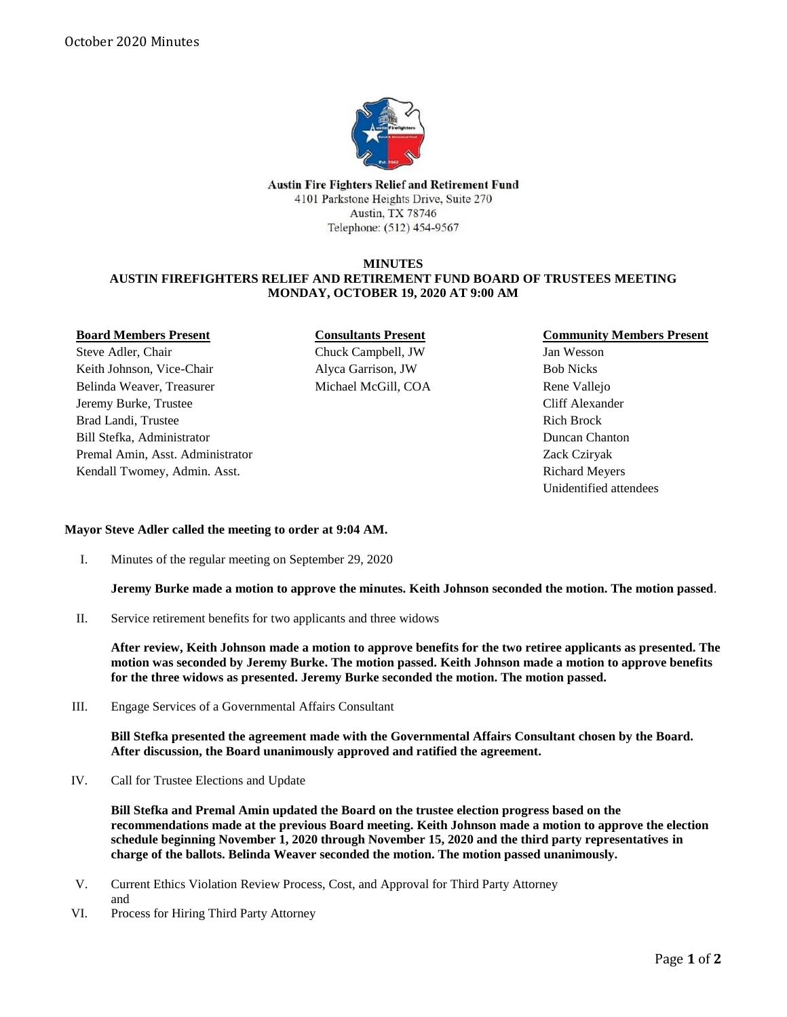

Austin Fire Fighters Relief and Retirement Fund 4101 Parkstone Heights Drive, Suite 270 Austin, TX 78746 Telephone: (512) 454-9567

## **MINUTES AUSTIN FIREFIGHTERS RELIEF AND RETIREMENT FUND BOARD OF TRUSTEES MEETING MONDAY, OCTOBER 19, 2020 AT 9:00 AM**

## **Board Members Present**

Steve Adler, Chair Keith Johnson, Vice-Chair Belinda Weaver, Treasurer Jeremy Burke, Trustee Brad Landi, Trustee Bill Stefka, Administrator Premal Amin, Asst. Administrator Kendall Twomey, Admin. Asst.

**Consultants Present** Chuck Campbell, JW Alyca Garrison, JW Michael McGill, COA

## **Community Members Present**

Jan Wesson Bob Nicks Rene Vallejo Cliff Alexander Rich Brock Duncan Chanton Zack Cziryak Richard Meyers Unidentified attendees

## **Mayor Steve Adler called the meeting to order at 9:04 AM.**

I. Minutes of the regular meeting on September 29, 2020

**Jeremy Burke made a motion to approve the minutes. Keith Johnson seconded the motion. The motion passed**.

II. Service retirement benefits for two applicants and three widows

**After review, Keith Johnson made a motion to approve benefits for the two retiree applicants as presented. The motion was seconded by Jeremy Burke. The motion passed. Keith Johnson made a motion to approve benefits for the three widows as presented. Jeremy Burke seconded the motion. The motion passed.**

III. Engage Services of a Governmental Affairs Consultant

**Bill Stefka presented the agreement made with the Governmental Affairs Consultant chosen by the Board. After discussion, the Board unanimously approved and ratified the agreement.** 

IV. Call for Trustee Elections and Update

**Bill Stefka and Premal Amin updated the Board on the trustee election progress based on the recommendations made at the previous Board meeting. Keith Johnson made a motion to approve the election schedule beginning November 1, 2020 through November 15, 2020 and the third party representatives in charge of the ballots. Belinda Weaver seconded the motion. The motion passed unanimously.**

- V. Current Ethics Violation Review Process, Cost, and Approval for Third Party Attorney and
- VI. Process for Hiring Third Party Attorney